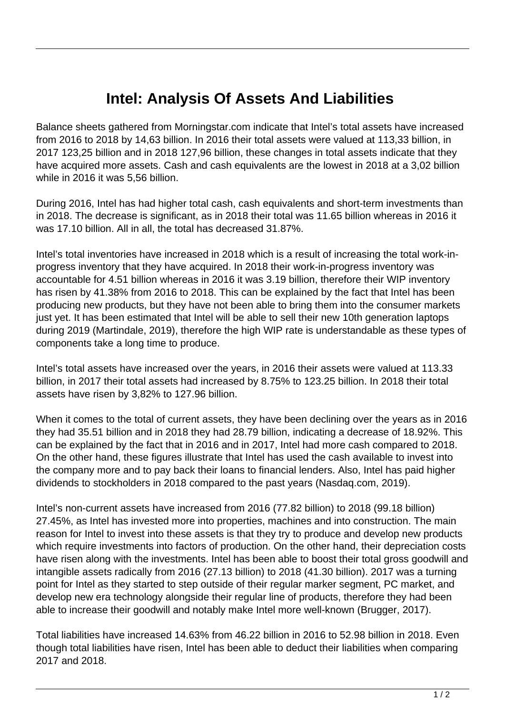## **Intel: Analysis Of Assets And Liabilities**

Balance sheets gathered from Morningstar.com indicate that Intel's total assets have increased from 2016 to 2018 by 14,63 billion. In 2016 their total assets were valued at 113,33 billion, in 2017 123,25 billion and in 2018 127,96 billion, these changes in total assets indicate that they have acquired more assets. Cash and cash equivalents are the lowest in 2018 at a 3,02 billion while in 2016 it was 5,56 billion.

During 2016, Intel has had higher total cash, cash equivalents and short-term investments than in 2018. The decrease is significant, as in 2018 their total was 11.65 billion whereas in 2016 it was 17.10 billion. All in all, the total has decreased 31.87%.

Intel's total inventories have increased in 2018 which is a result of increasing the total work-inprogress inventory that they have acquired. In 2018 their work-in-progress inventory was accountable for 4.51 billion whereas in 2016 it was 3.19 billion, therefore their WIP inventory has risen by 41.38% from 2016 to 2018. This can be explained by the fact that Intel has been producing new products, but they have not been able to bring them into the consumer markets just yet. It has been estimated that Intel will be able to sell their new 10th generation laptops during 2019 (Martindale, 2019), therefore the high WIP rate is understandable as these types of components take a long time to produce.

Intel's total assets have increased over the years, in 2016 their assets were valued at 113.33 billion, in 2017 their total assets had increased by 8.75% to 123.25 billion. In 2018 their total assets have risen by 3,82% to 127.96 billion.

When it comes to the total of current assets, they have been declining over the years as in 2016 they had 35.51 billion and in 2018 they had 28.79 billion, indicating a decrease of 18.92%. This can be explained by the fact that in 2016 and in 2017, Intel had more cash compared to 2018. On the other hand, these figures illustrate that Intel has used the cash available to invest into the company more and to pay back their loans to financial lenders. Also, Intel has paid higher dividends to stockholders in 2018 compared to the past years (Nasdaq.com, 2019).

Intel's non-current assets have increased from 2016 (77.82 billion) to 2018 (99.18 billion) 27.45%, as Intel has invested more into properties, machines and into construction. The main reason for Intel to invest into these assets is that they try to produce and develop new products which require investments into factors of production. On the other hand, their depreciation costs have risen along with the investments. Intel has been able to boost their total gross goodwill and intangible assets radically from 2016 (27.13 billion) to 2018 (41.30 billion). 2017 was a turning point for Intel as they started to step outside of their regular marker segment, PC market, and develop new era technology alongside their regular line of products, therefore they had been able to increase their goodwill and notably make Intel more well-known (Brugger, 2017).

Total liabilities have increased 14.63% from 46.22 billion in 2016 to 52.98 billion in 2018. Even though total liabilities have risen, Intel has been able to deduct their liabilities when comparing 2017 and 2018.